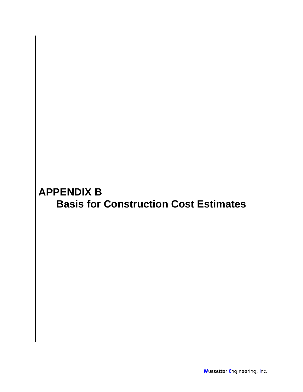## **APPENDIX B Basis for Construction Cost Estimates**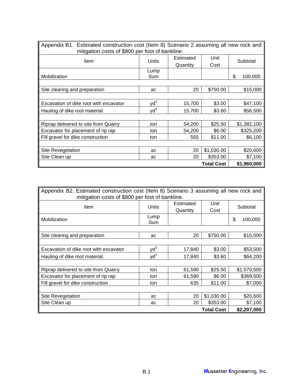| Appendix B1. Estimated construction cost (Item 8) Scenario 2 assuming all new rock and<br>mitigation costs of \$800 per foot of bankline. |                 |                       |              |               |  |
|-------------------------------------------------------------------------------------------------------------------------------------------|-----------------|-----------------------|--------------|---------------|--|
| Item                                                                                                                                      | <b>Units</b>    | Estimated<br>Quantity | Unit<br>Cost | Subtotal      |  |
|                                                                                                                                           | Lump            |                       |              |               |  |
| Mobilization                                                                                                                              | Sum             |                       |              | \$<br>100,000 |  |
|                                                                                                                                           |                 |                       |              |               |  |
| Site clearing and preparation                                                                                                             | ac              | 20                    | \$750.00     | \$15,000      |  |
|                                                                                                                                           |                 |                       |              |               |  |
| Excavation of dike root with excavator                                                                                                    | $\mathsf{yd}^3$ | 15,700                | \$3.00       | \$47,100      |  |
| Hauling of dike root material.                                                                                                            | $yd^3$          | 15,700                | \$3.60       | \$56,500      |  |
|                                                                                                                                           |                 |                       |              |               |  |
| Riprap delivered to site from Quarry                                                                                                      | ton             | 54,200                | \$25.50      | \$1,382,100   |  |
| Excavator for placement of rip rap                                                                                                        | ton             | 54,200                | \$6.00       | \$325,200     |  |
| Fill gravel for dike construction                                                                                                         | ton             | 555                   | \$11.00      | \$6,100       |  |
|                                                                                                                                           |                 |                       |              |               |  |
| Site Revegetation                                                                                                                         | ac              | 20                    | \$1,030.00   | \$20,600      |  |
| Site Clean up                                                                                                                             | ac              | 20                    | \$353.00     | \$7,100       |  |
| <b>Total Cost</b>                                                                                                                         |                 |                       |              | \$1,960,000   |  |

| Appendix B2. Estimated construction cost (Item 8) Scenario 3 assuming all new rock and |                                  |           |            |          |             |  |
|----------------------------------------------------------------------------------------|----------------------------------|-----------|------------|----------|-------------|--|
| mitigation costs of \$800 per foot of bankline.                                        |                                  |           |            |          |             |  |
| Item                                                                                   | <b>Units</b>                     | Estimated | Unit       | Subtotal |             |  |
|                                                                                        |                                  | Quantity  | Cost       |          |             |  |
| Mobilization                                                                           | Lump                             |           |            | \$       | 100,000     |  |
|                                                                                        | Sum                              |           |            |          |             |  |
|                                                                                        |                                  |           |            |          |             |  |
| Site clearing and preparation                                                          | ac                               | 20        | \$750.00   |          | \$15,000    |  |
|                                                                                        |                                  |           |            |          |             |  |
| Excavation of dike root with excavator                                                 | $\mathsf{v}\mathsf{d}^3$         | 17,840    | \$3.00     |          | \$53,500    |  |
| Hauling of dike root material.                                                         | $\mathsf{v} \mathsf{d}^3$        | 17,840    | \$3.60     |          | \$64,200    |  |
|                                                                                        |                                  |           |            |          |             |  |
| Riprap delivered to site from Quarry                                                   | ton                              | 61,590    | \$25.50    |          | \$1,570,500 |  |
| Excavator for placement of rip rap                                                     | ton                              | 61,590    | \$6.00     |          | \$369,500   |  |
| Fill gravel for dike construction                                                      | ton                              | 635       | \$11.00    |          | \$7,000     |  |
|                                                                                        |                                  |           |            |          |             |  |
| Site Revegetation                                                                      | ac                               | 20        | \$1,030.00 |          | \$20,600    |  |
| Site Clean up                                                                          | ac                               | 20        | \$353.00   |          | \$7,100     |  |
|                                                                                        | <b>Total Cost</b><br>\$2,207,000 |           |            |          |             |  |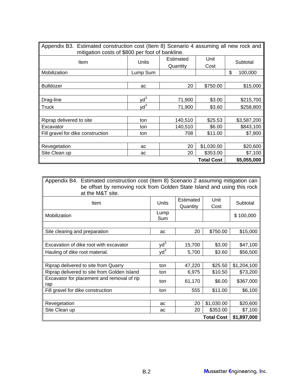| Appendix B3. Estimated construction cost (Item 8) Scenario 4 assuming all new rock and |                 |           |                   |               |  |  |
|----------------------------------------------------------------------------------------|-----------------|-----------|-------------------|---------------|--|--|
| mitigation costs of \$800 per foot of bankline.                                        |                 |           |                   |               |  |  |
|                                                                                        | Units           | Estimated | Unit              |               |  |  |
| Item                                                                                   |                 | Quantity  | Cost              | Subtotal      |  |  |
| Mobilization                                                                           | Lump Sum        |           |                   | \$<br>100,000 |  |  |
|                                                                                        |                 |           |                   |               |  |  |
| <b>Bulldozer</b>                                                                       | ac              | 20        | \$750.00          | \$15,000      |  |  |
|                                                                                        |                 |           |                   |               |  |  |
| Drag-line                                                                              | $yd^3$          | 71,900    | \$3.00            | \$215,700     |  |  |
| Truck                                                                                  | $\mathsf{yd}^3$ | 71,900    | \$3.60            | \$258,800     |  |  |
|                                                                                        |                 |           |                   |               |  |  |
| Riprap delivered to site                                                               | ton             | 140,510   | \$25.53           | \$3,587,200   |  |  |
| Excavator                                                                              | ton             | 140,510   | \$6.00            | \$843,100     |  |  |
| Fill gravel for dike construction                                                      | ton             | 708       | \$11.00           | \$7,800       |  |  |
|                                                                                        |                 |           |                   |               |  |  |
| Revegetation                                                                           | ac              | 20        | \$1,030.00        | \$20,600      |  |  |
| Site Clean up                                                                          | ac              | 20        | \$353.00          | \$7,100       |  |  |
|                                                                                        |                 |           | <b>Total Cost</b> | \$5,055,000   |  |  |

Appendix B4. Estimated construction cost (Item 8) Scenario 2 assuming mitigation can be offset by removing rock from Golden State Island and using this rock

| at the M&T site.                            |                 |           |                   |             |
|---------------------------------------------|-----------------|-----------|-------------------|-------------|
| Item                                        | <b>Units</b>    | Estimated | Unit              | Subtotal    |
|                                             |                 | Quantity  | Cost              |             |
| Mobilization                                | Lump            |           |                   | \$100,000   |
|                                             | Sum             |           |                   |             |
|                                             |                 |           |                   |             |
| Site clearing and preparation               | ac              | 20        | \$750.00          | \$15,000    |
|                                             |                 |           |                   |             |
| Excavation of dike root with excavator      | $yd^3$          | 15,700    | \$3.00            | \$47,100    |
| Hauling of dike root material.              | $\mathsf{yd}^3$ | 5,700     | \$3.60            | \$56,500    |
|                                             |                 |           |                   |             |
| Riprap delivered to site from Quarry        | ton             | 47,220    | \$25.50           | \$1,204,100 |
| Riprap delivered to site from Golden Island | ton             | 6,975     | \$10.50           | \$73,200    |
| Excavator for placement and removal of rip  | ton             | 61,170    | \$6.00            | \$367,000   |
| rap                                         |                 |           |                   |             |
| Fill gravel for dike construction           | ton             | 555       | \$11.00           | \$6,100     |
|                                             |                 |           |                   |             |
| Revegetation                                | ac              | 20        | \$1,030.00        | \$20,600    |
| Site Clean up                               | ac              | 20        | \$353.00          | \$7,100     |
|                                             |                 |           | <b>Total Cost</b> | \$1,897,000 |